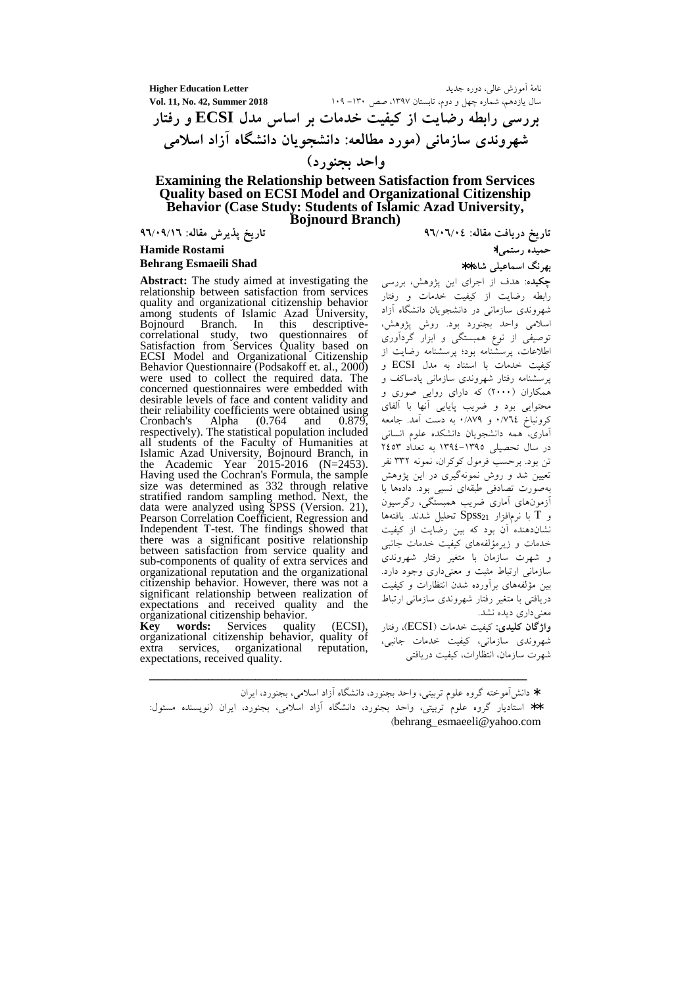**Higher Education Letter** نامهٔ اَموزش عالی، دوره جدید سال یازدهم، شماره چهل و دوم، تابستان ۱۳۹۷، صص ۱۳۰– ۱۰۹ Vol. 11, No. 42, Summer 2018 بررسی رابطه رضایت از کیفیت خدمات بر اساس مدل ECSI و رفتار شهروندی سازمانی (مورد مطالعه: دانشجویان دانشگاه آزاد اسلامی واحد بجنورد)

#### **Examining the Relationship between Satisfaction from Services Quality based on ECSI Model and Organizational Citizenship** Behavior (Case Study: Students of Islamic Azad University, **Bojnourd Branch**)

تاريخ پذيرش مقاله: ٩٦/٠٩/١٦

#### **Hamide Rostami Behrang Esmaeili Shad**

**Abstract:** The study aimed at investigating the relationship between satisfaction from services quality and organizational citizenship behavior<br>among students of Islamic Azad University, Bojnourd Branch. In this descriptivecorrelational study, two questionnaires of Satisfaction from Services Quality based on<br>ECSI Model and Organizational Citizenship Behavior Questionnaire (Podsakoff et. al., 2000) were used to collect the required data. The concerned questionnaires were embedded with desirable levels of face and content validity and their reliability coefficients were obtained using  $(0.764)$ Alpha and 0.879 Cronbach's respectively). The statistical population included all students of the Faculty of Humanities at Islamic Azad University, Bojnourd Branch, in<br>the Academic Year 2015-2016 (N=2453). Having used the Cochran's Formula, the sample size was determined as 332 through relative stratified random sampling method. Next, the data were analyzed using SPSS (Version. 21), Pearson Correlation Coefficient, Regression and Independent T-test. The findings showed that there was a significant positive relationship between satisfaction from service quality and sub-components of quality of extra services and organizational reputation and the organizational citizenship behavior. However, there was not a significant relationship between realization of expectations and received quality and the organizational citizenship behavior.

**Key** words: Services quality (ECSI). organizational citizenship behavior, quality of extra services, organizational reputation, expectations, received quality.

تاریخ دریافت مقاله: ٤٦/٠٦/٠٤

حميده رستمي\*

ىھ نگ اسماعىلى شاد\*\*

.<br>**چکیده**: هدف از اجرای این پژوهش، بررسی رابطه رضایت از کیفیت خدمات و رفتار .<br>شهروندی سازمان<sub>ی</sub> در دانشجویان دانشگاه آزاد اسلامی واحد بجنورد بود. روش پژوهش، توصیفی از نوع همبستگی و ابزار گردآوری اطلاعات، پرسشّنامه بود؛ پرسشنامه رضایت از کیفیت خدمات با استناد به مدل ECSI و یرسشنامه رفتار شهروندی سازمانی یادساکف و همکاران (۲۰۰۰) که دارای روایی صوری و محتوایی بود و ضریب پایایی آنها با آلفای<br>کِرونباخ ۰/۷۶ و ۰/۸۷۹ به دست آمد. جامعه .<br>آماری، همه دانشجویان دانشکده علوم انسانی<br>در سال تحصیلی ۱۳۹۵–۱۳۹۶ به تعداد ۲٤٥۳ تن بود. برحسب فرمول کوکران، نمونه ۳۳۲ نفر تعیین شد و روش نمونهگیری در این پژوهش بهصوّرت تصادفی طبقهای نسبی بود. دادهها با آزمونهای آماری ضریب همبستگی، رگرسیون و  $\rm{T}$  با نرمافزار  $\rm{SPSS}_{21}$  تحليل شدند. يافتهها نشاندهنده ٰ آن بود که بین رضایت از کیفیت خدمات و زیرمؤلفههای کیفیت خدمات جانبی و شهرت سازمان با متغیر رفتار شهروندی سازمانی ارتباط مثبت و معنیداری وجود دارد. بین مؤلفههای برآورده شدن انتظارات و کیفیت دریافتی با متغیر رفتار شهروندی سازمانی ارتباط معنی داری دیده نشد.

واژگان كليدي: كيفيت خدمات (ECSI)، رفتار شهروندي سازماني، كيفيت خدمات جانبي، شهرت سازمان، انتظارات، كيفيت دريافتى

\* دانش آموخته گروه علوم تربیتی، واحد بجنورد، دانشگاه آزاد اسلامی، بجنورد، ایران

\*\* استادیار گروه علوم تربیتی، واحد بجنورد، دانشگاه آزاد اسلامی، بجنورد، ایران (نویسنده مسئول: (behrang esmaeeli@yahoo.com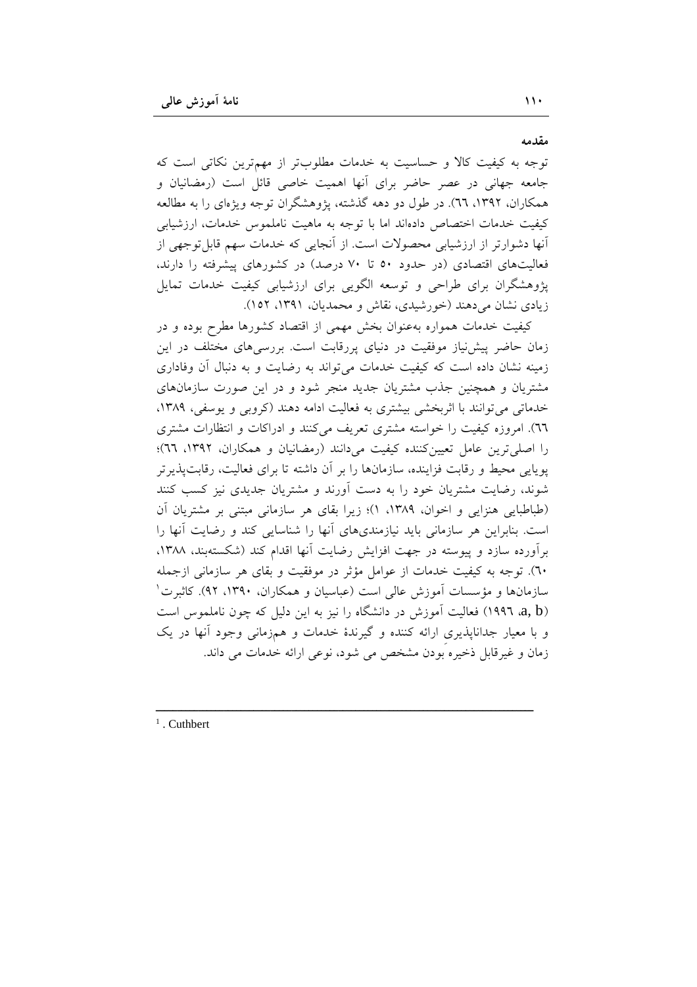مقدمه

توجه به کیفیت کالا و حساسیت به خدمات مطلوبتر از مهمترین نکاتی است که جامعه جهانی در عصر حاضر برای آنها اهمیت خاصی قائل است (رمضانیان و همکاران، ۱۳۹۲، ٦٦). در طول دو دهه گذشته، پژوهشگران توجه ویژهای را به مطالعه كيفيت خدمات اختصاص دادهاند اما با توجه به ماهيت ناملموس خدمات، ارزشيابي آنها دشوارتر از ارزشیابی محصولات است. از آنجایی که خدمات سهم قابل توجهی از فعالیتهای اقتصادی (در حدود ۵۰ تا ۷۰ درصد) در کشورهای پیشرفته را دارند، پژوهشگران برای طراحی و توسعه الگویی برای ارزشیابی کیفیت خدمات تمایل زیادی نشان می دهند (خورشیدی، نقاش و محمدیان، ۱۳۹۱، ۱۵۲).

کیفیت خدمات همواره بهعنوان بخش مهمی از اقتصاد کشورها مطرح بوده و در زمان حاضر پیش نیاز موفقیت در دنیای پررقابت است. بررسیهای مختلف در این زمینه نشان داده است که کیفیت خدمات می تواند به رضایت و به دنبال آن وفاداری مشتریان و همچنین جذب مشتریان جدید منجر شود و در این صورت سازمانهای خدماتی می توانند با اثربخشی بیشتری به فعالیت ادامه دهند (کروبی و یوسفی، ۱۳۸۹، ٦٦). امروزه كيفيت را خواسته مشترى تعريف مى كنند و ادراكات و انتظارات مشترى را اصلی ترین عامل تعیین کننده کیفیت می دانند (رمضانیان و همکاران، ۱۳۹۲، ٦٦)؛ یوپایی محیط و رقابت فزاینده، سازمانها را بر آن داشته تا برای فعالیت، رقابت پذیر تر شوند، رضایت مشتریان خود را به دست آورند و مشتریان جدیدی نیز کسب کنند (طباطبایی هنزایی و اخوان، ۱۳۸۹، ۱)؛ زیرا بقای هر سازمانی مبتنی بر مشتریان آن است. بنابراین هر سازمانی باید نیازمندیهای أنها را شناسایی کند و رضایت أنها را برآورده سازد و پیوسته در جهت افزایش رضایت آنها اقدام کند (شکستهبند، ۱۳۸۸، ٦٠). توجه به كيفيت خدمات از عوامل مؤثر در موفقيت و بقاى هر سازماني ازجمله سازمانها و مؤسسات آموزش عالی است (عباسیان و همکاران، ۱۳۹۰، ۹۲). کاثبرت ٰ a, b) هغالیت آموزش در دانشگاه را نیز به این دلیل که چون ناملموس است و با معیار جداناپذیری ارائه کننده و گیرندهٔ خدمات و همزمانی وجود آنها در یک زمان و غیرقابل ذخیره بودن مشخص می شود، نوعی ارائه خدمات می داند.

 $1$ . Cuthbert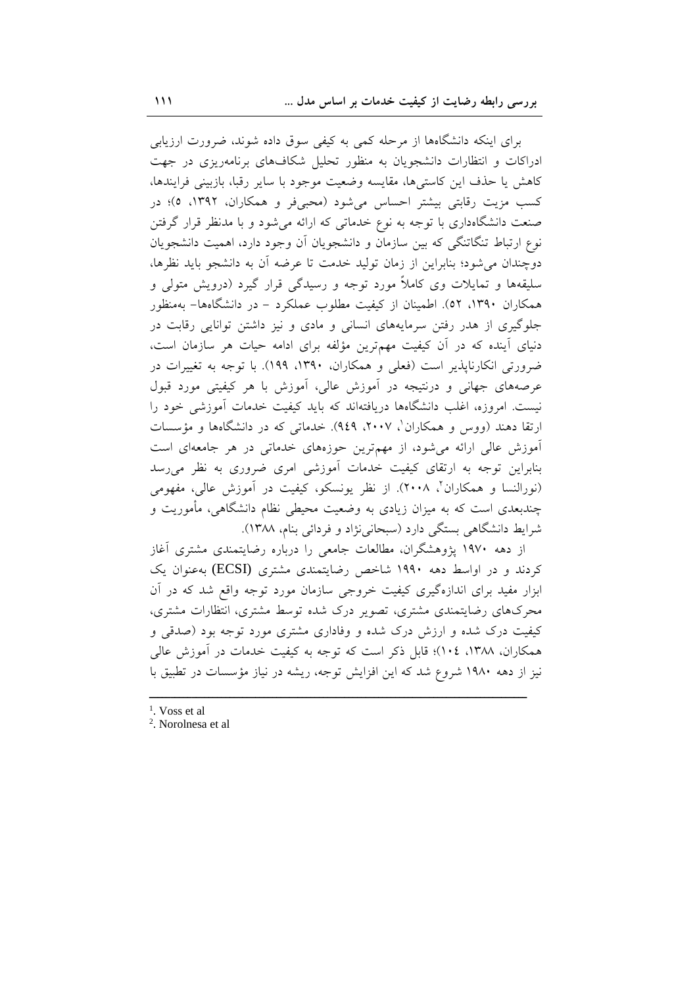برای اینکه دانشگاهها از مرحله کمی به کیفی سوق داده شوند، ضرورت ارزیابی ادراکات و انتظارات دانشجویان به منظور تحلیل شکافهای برنامهریزی در جهت كاهش يا حذف اين كاستىها، مقايسه وضعيت موجود با ساير رقبا، بازبيني فرايندها، کسب مزیت رقابتی بیشتر احساس میشود (محبیفر و همکاران، ۱۳۹۲، ٥)؛ در صنعت دانشگاهداری با توجه به نوع خدماتی که ارائه میشود و با مدنظر قرار گرفتن نوع ارتباط تنگاتنگی که بین سازمان و دانشجویان آن وجود دارد، اهمیت دانشجویان دوچندان می شود؛ بنابراین از زمان تولید خدمت تا عرضه آن به دانشجو باید نظرها، سلیقهها و تمایلات وی کاملاً مورد توجه و رسیدگی قرار گیرد (درویش متولی و همکاران ۱۳۹۰، ۵۲). اطمینان از کیفیت مطلوب عملکرد – در دانشگاهها– بهمنظور جلوگیری از هدر رفتن سرمایههای انسانی و مادی و نیز داشتن توانایی رقابت در دنیای آینده که در آن کیفیت مهم ترین مؤلفه برای ادامه حیات هر سازمان است، ضرورتی انکارنایذیر است (فعلی و همکاران، ۱۳۹۰، ۱۹۹). با توجه به تغییرات در عرصههای جهانی و درنتیجه در آموزش عالی، آموزش با هر کیفیتی مورد قبول نیست. امروزه، اغلب دانشگاهها دریافتهاند که باید کیفیت خدمات آموزشی خود را ارتقا دهند (ووس و همکاران'، ۲۰۰۷، ۹٤۹). خدماتی که در دانشگاهها و مؤسسات آموزش عالی ارائه می شود، از مهم ترین حوزههای خدماتی در هر جامعهای است بنابراین توجه به ارتقای کیفیت خدمات آموزشی امری ضروری به نظر می رسد (نورالنسا و همکاران'، ۲۰۰۸). از نظر یونسکو، کیفیت در آموزش عالی، مفهومی چندبعدی است که به میزان زیادی به وضعیت محیطی نظام دانشگاهی، مأموریت و شرايط دانشگاهي بستگي دارد (سبحاني نژاد و فردائي بنام، ١٣٨٨).

از دهه ۱۹۷۰ پژوهشگران، مطالعات جامعی را درباره رضایتمندی مشتری آغاز کردند و در اواسط دهه ۱۹۹۰ شاخص رضایتمندی مشتری (ECSI) به عنوان یک ابزار مفید برای اندازهگیری کیفیت خروجی سازمان مورد توجه واقع شد که در آن محرکهای رضایتمندی مشتری، تصویر درک شده توسط مشتری، انتظارات مشتری، کیفیت درک شده و ارزش درک شده و وفاداری مشتری مورد توجه بود (صدقی و همکاران، ۱۳۸۸، ۱۰۶)؛ قابل ذکر است که توجه به کیفیت خدمات در آموزش عالی نیز از دهه ۱۹۸۰ شروع شد که این افزایش توجه، ریشه در نیاز مؤسسات در تطبیق با

- $<sup>1</sup>$ . Voss et al</sup>
- <sup>2</sup>. Norolnesa et al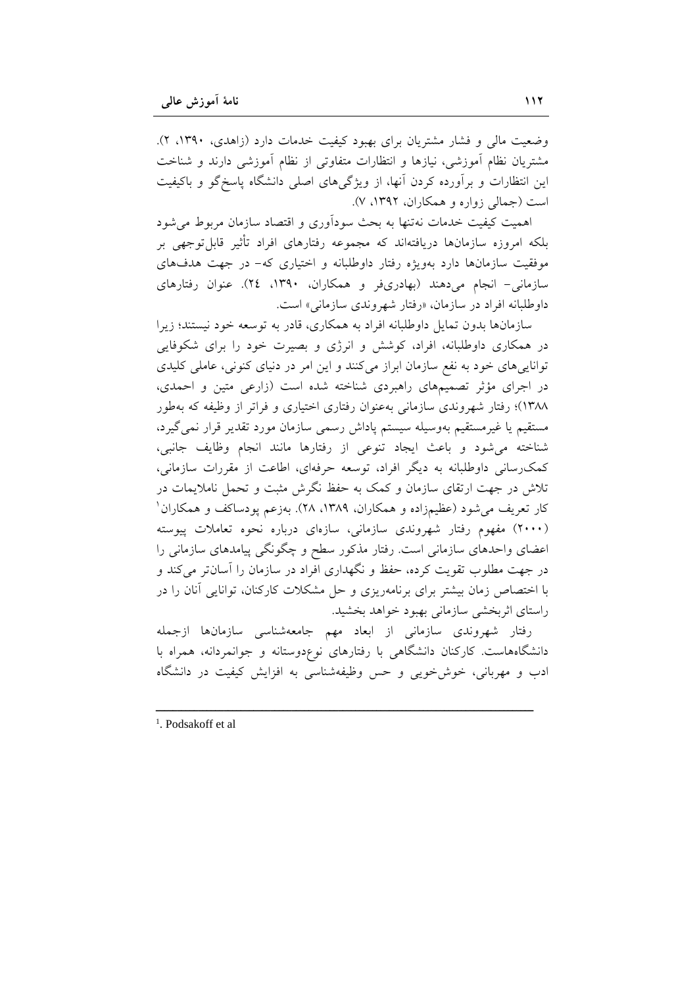وضعیت مالی و فشار مشتریان برای بهبود کیفیت خدمات دارد (زاهدی، ۱۳۹۰، ۲). مشتریان نظام آموزشی، نیازها و انتظارات متفاوتی از نظام آموزشی دارند و شناخت این انتظارات و برآورده کردن آنها، از ویژگیهای اصلی دانشگاه پاسخگو و باکیفیت است (جمالی زواره و همکاران، ۱۳۹۲، ۷).

اهمیت کیفیت خدمات نهتنها به بحث سودآوری و اقتصاد سازمان مربوط میشود بلکه امروزه سازمانها دریافتهاند که مجموعه رفتارهای افراد تأثیر قابلتوجهی بر موفقیت سازمانها دارد بهویژه رفتار داوطلبانه و اختیاری که- در جهت هدفهای سازمانی- انجام میدهند (بهادریفر و همکاران، ۱۳۹۰، ۲٤). عنوان رفتارهای داوطلبانه افراد در سازمان، «رفتار شهروندی سازمانی» است.

سازمانها بدون تمایل داوطلبانه افراد به همکاری، قادر به توسعه خود نیستند؛ زیرا در همکاری داوطلبانه، افراد، کوشش و انرژی و بصیرت خود را برای شکوفایی تواناییهای خود به نفع سازمان ابراز میکنند و این امر در دنیای کنونی، عاملی کلیدی در اجرای مؤثر تصمیمهای راهبردی شناخته شده است (زارعی متین و احمدی، ۱۳۸۸)؛ رفتار شهروندی سازمانی بهعنوان رفتاری اختیاری و فراتر از وظیفه که بهطور مستقیم یا غیرمستقیم بهوسیله سیستم پاداش رسمی سازمان مورد تقدیر قرار نمی گیرد، شناخته می شود و باعث ایجاد تنوعی از رفتارها مانند انجام وظایف جانبی، کمک رسانی داوطلبانه به دیگر افراد، توسعه حرفهای، اطاعت از مقررات سازمانی، تلاش در جهت ارتقای سازمان و کمک به حفظ نگرش مثبت و تحمل ناملایمات در کار تعریف می شود (عظیمزاده و همکاران، ۱۳۸۹، ۲۸). بهزعم پودساکف و همکاران ا (۲۰۰۰) مفهوم رفتار شهروندی سازمانی، سازهای درباره نحوه تعاملات پیوسته اعضای واحدهای سازمانی است. رفتار مذکور سطح و چگونگی پیامدهای سازمانی را در جهت مطلوب تقویت کرده، حفظ و نگهداری افراد در سازمان را آسانتر می کند و با اختصاص زمان بیشتر برای برنامهریزی و حل مشکلات کارکنان، توانایی أنان را در راستای اثربخشی سازمانی بهبود خواهد بخشید.

رفتار شهروندي سازماني از ابعاد مهم جامعهشناسي سازمانها ازجمله دانشگاههاست. کارکنان دانشگاهی با رفتارهای نوعدوستانه و جوانمردانه، همراه با ادب و مهربانی، خوش خویی و حس وظیفهشناسی به افزایش کیفیت در دانشگاه

<sup>1</sup>. Podsakoff et al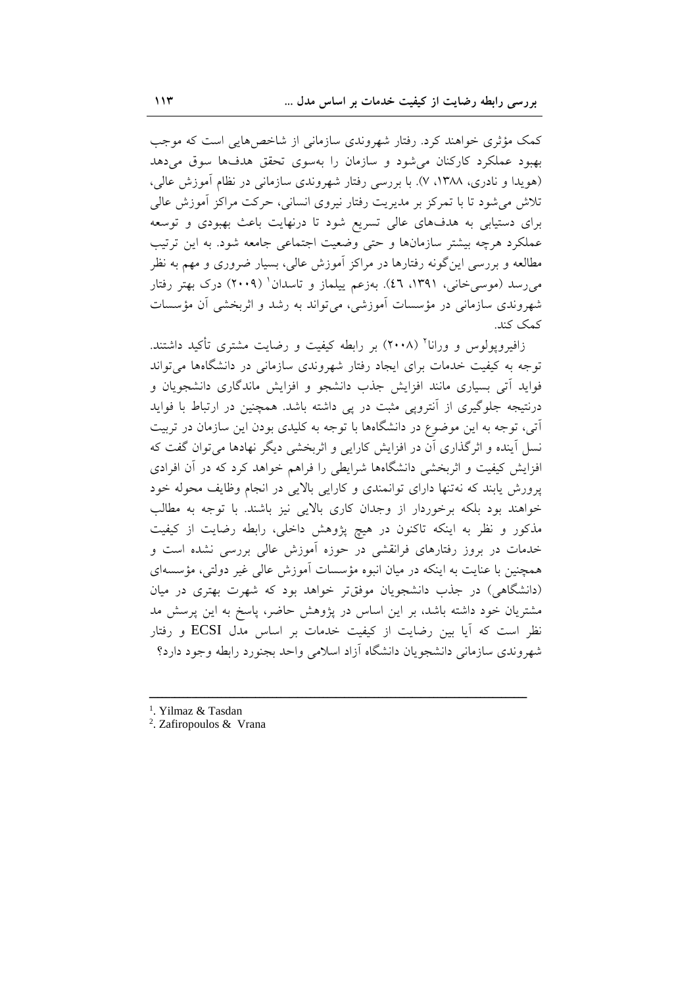کمک مؤثری خواهند کرد. رفتار شهروندی سازمانی از شاخصهایی است که موجب بهبود عملکرد کارکنان می شود و سازمان را بهسوی تحقق هدفها سوق میدهد (هویدا و نادری، ۱۳۸۸، ۷). با بررسی رفتار شهروندی سازمانی در نظام آموزش عالی، تلاش میشود تا با تمرکز بر مدیریت رفتار نیروی انسانی، حرکت مراکز آموزش عالی برای دستیابی به هدفهای عالی تسریع شود تا درنهایت باعث بهبودی و توسعه عملکرد هرچه بیشتر سازمانها و حتی وضعیت اجتماعی جامعه شود. به این ترتیب مطالعه و بررسی این گونه رفتارها در مراکز آموزش عالی، بسیار ضروری و مهم به نظر میرسد (موسیخانی، ۱۳۹۱، ٤٦). بهزعم پیلماز و تاسدان' (۲۰۰۹) درک بهتر رفتار شهروندی سازمانی در مؤسسات آموزشی، میتواند به رشد و اثربخشی آن مؤسسات كمك كند.

زافیروپولوس و ورانا<sup>۲</sup> (۲۰۰۸) بر رابطه کیفیت و رضایت مشتری تأکید داشتند. توجه به کیفیت خدمات برای ایجاد رفتار شهروندی سازمانی در دانشگاهها می تواند فواید اَتی بسیاری مانند افزایش جذب دانشجو و افزایش ماندگاری دانشجویان و درنتیجه جلوگیری از آنتروپی مثبت در پی داشته باشد. همچنین در ارتباط با فواید آتی، توجه به این موضوع در دانشگاهها با توجه به کلیدی بودن این سازمان در تربیت نسل آینده و اثرگذاری آن در افزایش کارایی و اثربخشی دیگر نهادها میتوان گفت که افزایش کیفیت و اثربخشی دانشگاهها شرایطی را فراهم خواهد کرد که در آن افرادی پرورش یابند که نهتنها دارای توانمندی و کارایی بالایی در انجام وظایف محوله خود خواهند بود بلکه برخوردار از وجدان کاری بالایی نیز باشند. با توجه به مطالب مذکور و نظر به اینکه تاکنون در هیچ پژوهش داخلی، رابطه رضایت از کیفیت خدمات در بروز رفتارهای فرانقشی در حوزه آموزش عالی بررسی نشده است و همچنین با عنایت به اینکه در میان انبوه مؤسسات آموزش عالی غیر دولتی، مؤسسهای (دانشگاهی) در جذب دانشجویان موفقتر خواهد بود که شهرت بهتری در میان مشتریان خود داشته باشد، بر این اساس در پژوهش حاضر، پاسخ به این پرسش مد نظر است که آیا بین رضایت از کیفیت خدمات بر اساس مدل ECSI و رفتار شهروندي سازماني دانشجويان دانشگاه آزاد اسلامي واحد بجنورد رابطه وجود دارد؟

- <sup>1</sup>. Yilmaz & Tasdan
- <sup>2</sup>. Zafiropoulos & Vrana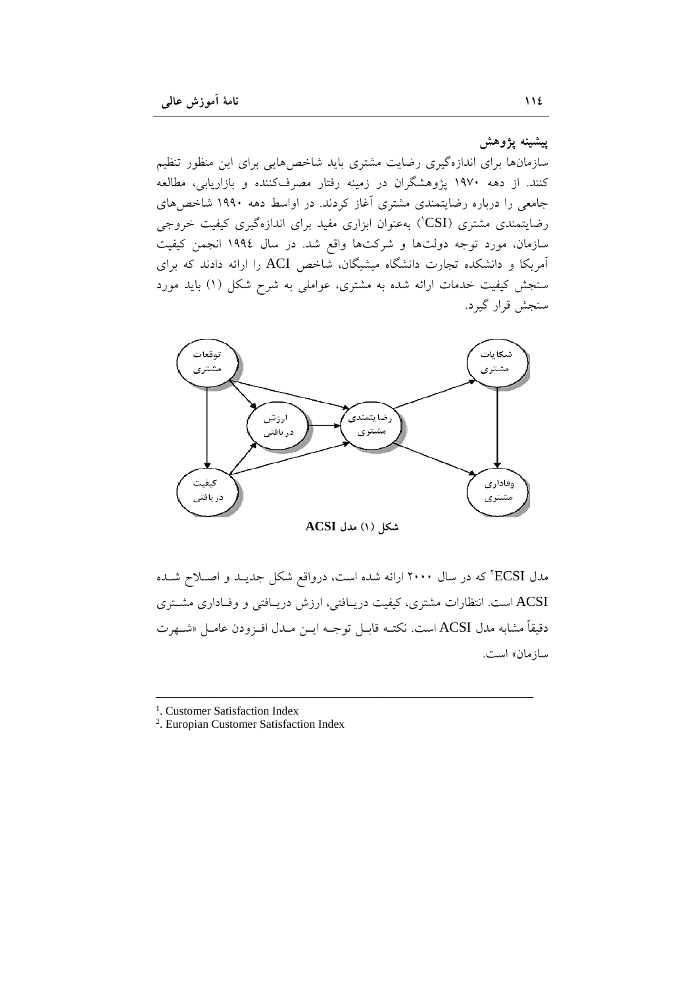ييشينه يژوهش

سازمانها برای اندازهگیری رضایت مشتری باید شاخصهایی برای این منظور تنظیم کنند. از دهه ۱۹۷۰ پژوهشگران در زمینه رفتار مصرفکننده و بازاریابی، مطالعه جامعی را درباره رضایتمندی مشتری آغاز کردند. در اواسط دهه ۱۹۹۰ شاخص های رضایتمندی مشتری (CSI) بهعنوان ابزاری مفید برای اندازهگیری کیفیت خروجی سازمان، مورد توجه دولتها و شرکتها واقع شد. در سال ۱۹۹۶ انجمن کیفیت آمریکا و دانشکده تجارت دانشگاه میشیگان، شاخص ACI را ارائه دادند که برای سنجش کیفیت خدمات ارائه شده به مشتری، عواملی به شرح شکل (۱) باید مورد سنجش قرار گیرد.



مدل ECSI' که در سال ۲۰۰۰ ارائه شده است، درواقع شکل جدیـد و اصـلاح شـده ACSI است. انتظارات مشتری، کیفیت دریـافتی، ارزش دریـافتی و وفـاداری مشـتری دقيقاً مشابه مدل ACSI است. نكتــه قابــل توجــه ايــن مــدل افــزودن عامــل «شــهرت ساز مان» است.

<sup>1</sup>. Customer Satisfaction Index

<sup>2</sup>. Europian Customer Satisfaction Index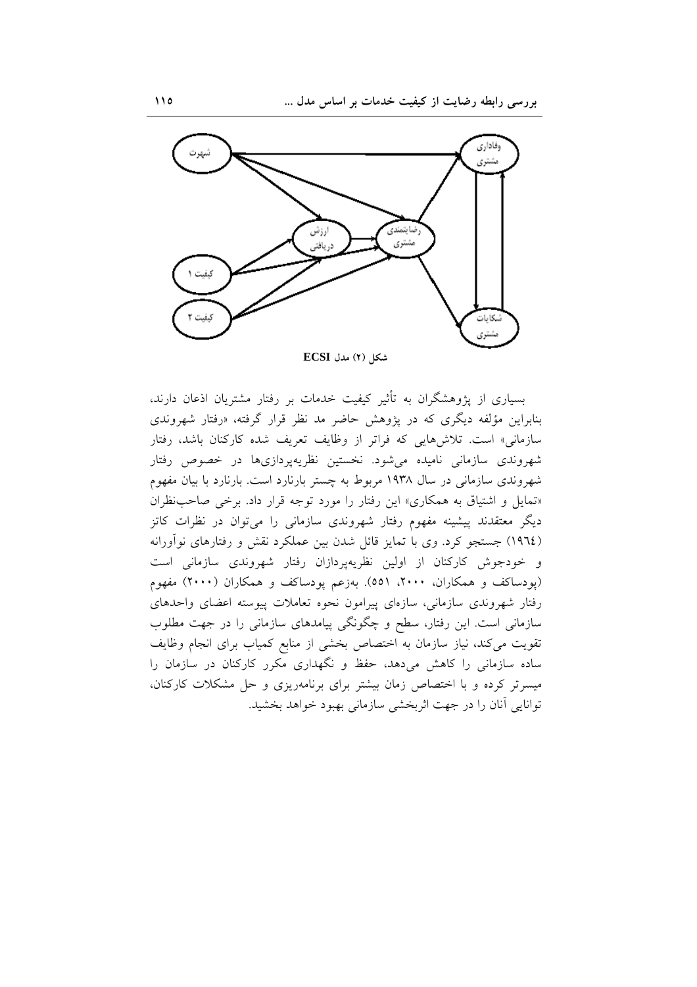

شكل (٢) مدل ECSI

بسیاری از پژوهشگران به تأثیر کیفیت خدمات بر رفتار مشتریان اذعان دارند، بنابراین مؤلفه دیگری که در یژوهش حاضر مد نظر قرار گرفته، «رفتار شهروندی سازمانی» است. تلاشهایی که فراتر از وظایف تعریف شده کارکنان باشد، رفتار شهروندی سازمانی نامیده میشود. نخستین نظریهپردازیها در خصوص رفتار شهروندی سازمانی در سال ۱۹۳۸ مربوط به چستر بارنارد است. بارنارد با بیان مفهوم «تمایل و اشتیاق به همکاری» این رفتار را مورد توجه قرار داد. برخی صاحب نظران دیگر معتقدند پیشینه مفهوم رفتار شهروندی سازمانی را میتوان در نظرات کاتز (١٩٦٤) جستجو كرد. وى با تمايز قائل شدن بين عملكرد نقش و رفتارهاى نوأورانه و خودجوش کارکنان از اولین نظریهپردازان رفتار شهروندی سازمانی است (یودساکف و همکاران، ۲۰۰۰، ۵۵۱). بهزعم یودساکف و همکاران (۲۰۰۰) مفهوم رفتار شهروندی سازمانی، سازهای پیرامون نحوه تعاملات پیوسته اعضای واحدهای سازمانی است. این رفتار، سطح و چگونگی پیامدهای سازمانی را در جهت مطلوب تقویت میکند، نیاز سازمان به اختصاص بخشی از منابع کمیاب برای انجام وظایف ساده سازمانی را کاهش میدهد، حفظ و نگهداری مکرر کارکنان در سازمان را میسرتر کرده و با اختصاص زمان بیشتر برای برنامهریزی و حل مشکلات کارکنان، توانایی آنان را در جهت اثربخشی سازمانی بهبود خواهد بخشید.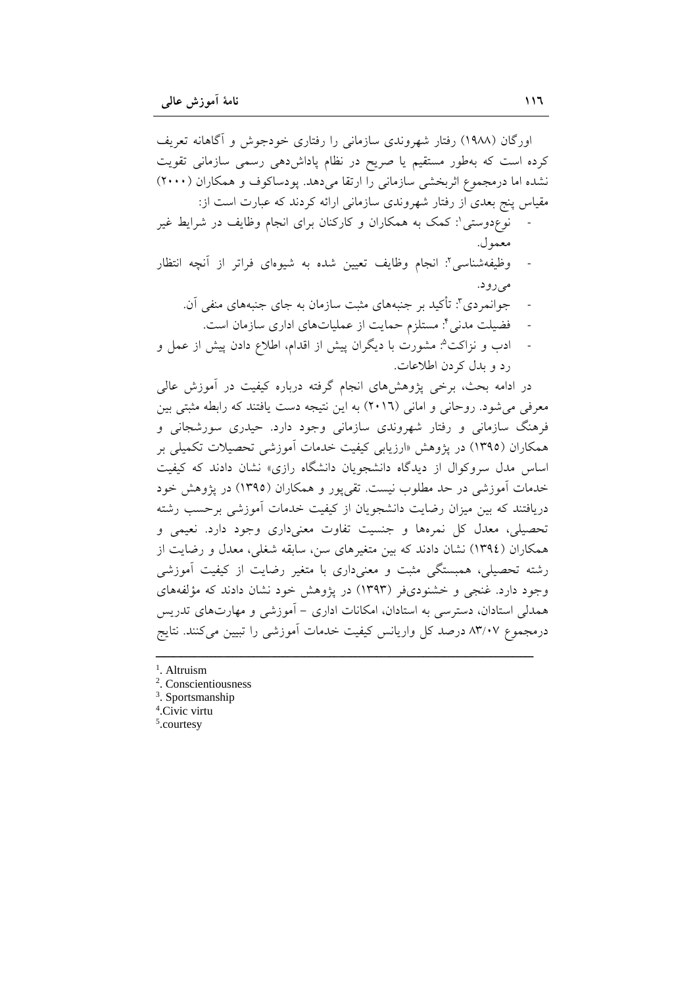اورگان (۱۹۸۸) رفتار شهروندی سازمانی را رفتاری خودجوش و آگاهانه تعریف کرده است که بهطور مستقیم یا صریح در نظام پاداشدهی رسمی سازمانی تقویت نشده اما درمجموع اثربخشی سازمانی را ارتقا میدهد. پودساکوف و همکاران (۲۰۰۰) مقیاس پنج بعدی از رفتار شهروندی سازمانی ارائه کردند که عبارت است از: نوع دوستی': کمک به همکاران و کارکنان برای انجام وظایف در شرایط غیر

- معمو ل. وظیفهشناسی؟: انجام وظایف تعیین شده به شیوهای فراتر از آنچه انتظار
	- مي رو د. جوانمردي": تأكيد بر جنبههاي مثبت سازمان به جاي جنبههاي منفي آن.
		- فضيلت مدني أ: مستلزم حمايت از عملياتهاي اداري سازمان است.
- ادب و نزاکت<sup>ه</sup>: مشورت با دیگران پیش از اقدام، اطلاع دادن پیش از عمل و رد و بدل کردن اطلاعات.

در ادامه بحث، برخی پژوهشهای انجام گرفته درباره کیفیت در آموزش عالی معرفی می شود. روحانی و امانی (٢٠١٦) به این نتیجه دست یافتند که رابطه مثبتی بین فرهنگ سازمانی و رفتار شهروندی سازمانی وجود دارد. حیدری سورشجانی و همکاران (۱۳۹۵) در یژوهش «ارزیابی کیفیت خدمات اَموزشی تحصیلات تکمیلی بر اساس مدل سروکوال از دیدگاه دانشجویان دانشگاه رازی» نشان دادند که کیفیت خدمات آموزشی در حد مطلوب نیست. تقی پور و همکاران (۱۳۹۵) در پژوهش خود دریافتند که بین میزان رضایت دانشجویان از کیفیت خدمات آموزشی برحسب رشته تحصیلی، معدل کل نمرهها و جنسیت تفاوت معنیداری وجود دارد. نعیمی و همکاران (١٣٩٤) نشان دادند که بین متغیرهای سن، سابقه شغلی، معدل و رضایت از رشته تحصیلی، همبستگی مثبت و معنیداری با متغیر رضایت از کیفیت آموزشی وجود دارد. غنجی و خشنودیفر (۱۳۹۳) در پژوهش خود نشان دادند که مؤلفههای همدلی استادان، دسترسی به استادان، امکانات اداری – آموزشی و مهارتهای تدریس درمجموع ۸۳/۰۷ درصد کل واریانس کیفیت خدمات آموزشی را تبیین میکنند. نتایج

- $<sup>1</sup>$ . Altruism</sup>
- <sup>2</sup>. Conscientiousness
- $3.$  Sportsmanship
- <sup>4</sup>.Civic virtu
- $5$ .courtesy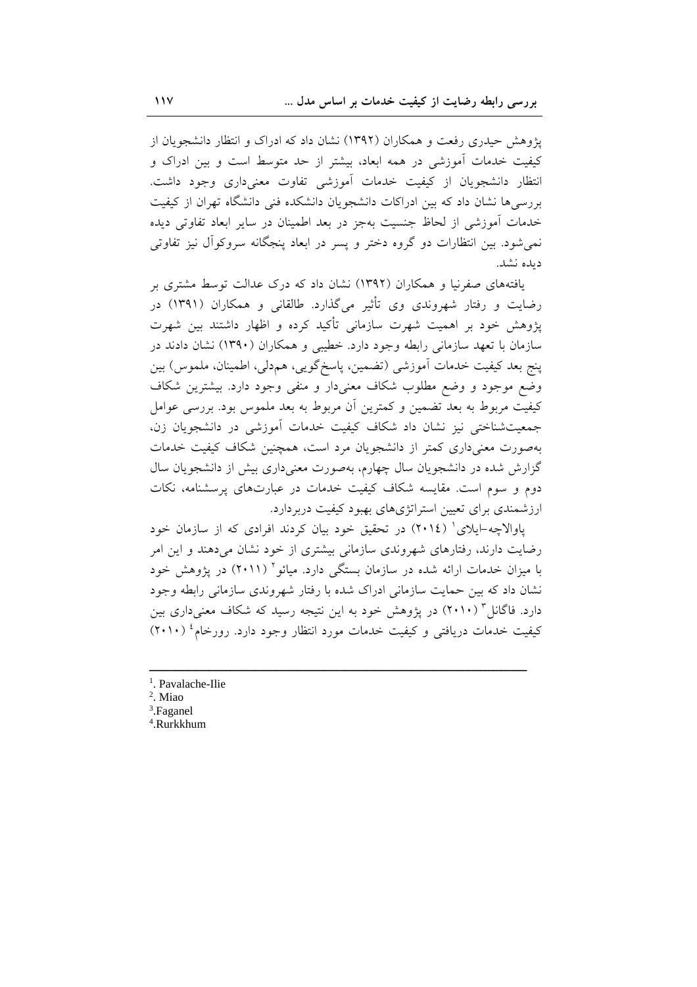یژوهش حیدری رفعت و همکاران (۱۳۹۲) نشان داد که ادراک و انتظار دانشجویان از کیفیت خدمات آموزشی در همه ابعاد، بیشتر از حد متوسط است و بین ادراک و انتظار دانشجویان از کیفیت خدمات اَموزشی تفاوت معنیداری وجود داشت. بررسی ها نشان داد که بین ادراکات دانشجو بان دانشکده فنی دانشگاه تهران از کیفیت خدمات آموزشی از لحاظ جنسیت بهجز در بعد اطمینان در سایر ابعاد تفاوتی دیده نمیشود. بین انتظارات دو گروه دختر و پسر در ابعاد پنجگانه سروکوآل نیز تفاوتی دىدە نشد.

یافتههای صفرنیا و همکاران (۱۳۹۲) نشان داد که درک عدالت توسط مشتری بر رضایت و رفتار شهروندی وی تأثیر میگذارد. طالقانی و همکاران (۱۳۹۱) در پژوهش خود بر اهمیت شهرت سازمانی تأکید کرده و اظهار داشتند بین شهرت سازمان با تعهد سازمانی رابطه وجود دارد. خطیبی و همکاران (۱۳۹۰) نشان دادند در ينج بعد كيفيت خدمات أموزشي (تضمين، ياسخگويي، هم دلي، اطمينان، ملموس) بين وضع موجود و وضع مطلوب شكاف معنى دار و منفى وجود دارد. بيشترين شكاف کیفیت مربوط به بعد تضمین و کمترین اَن مربوط به بعد ملموس بود. بررسی عوامل جمعیتشناختی نیز نشان داد شکاف کیفیت خدمات آموزشی در دانشجویان زن، بهصورت معنیداری کمتر از دانشجویان مرد است، همچنین شکاف کیفیت خدمات گزارش شده در دانشجویان سال چهارم، بهصورت معنی داری بیش از دانشجویان سال دوم و سوم است. مقایسه شکاف کیفیت خدمات در عبارتهای پرسشنامه، نکات ارزشمندی برای تعیین استراتژیهای بهبود کیفیت دربردارد.

یاوالاچه-ایلای' (٢٠١٤) در تحقیق خود بیان کردند افرادی که از سازمان خود رضایت دارند، رفتارهای شهروندی سازمانی بیشتری از خود نشان می دهند و این امر با میزان خدمات ارائه شده در سازمان بستگی دارد. میائو ۲۰۱۱) در پژوهش خود نشان داد که بین حمایت سازمانی ادراک شده با رفتار شهروندی سازمانی رابطه وجود دارد. فاگانل<sup>۳</sup> (۲۰۱۰) در پژوهش خود به این نتیجه رسید که شکاف معنیداری بین کیفیت خدمات دریافتی و کیفیت خدمات مورد انتظار وجود دارد. رورخام<sup>،</sup> (۲۰۱۰)

- <sup>1</sup>. Pavalache-Ilie
- <sup>2</sup>. Miao
- <sup>3</sup>.Faganel
- <sup>4</sup>.Rurkkhum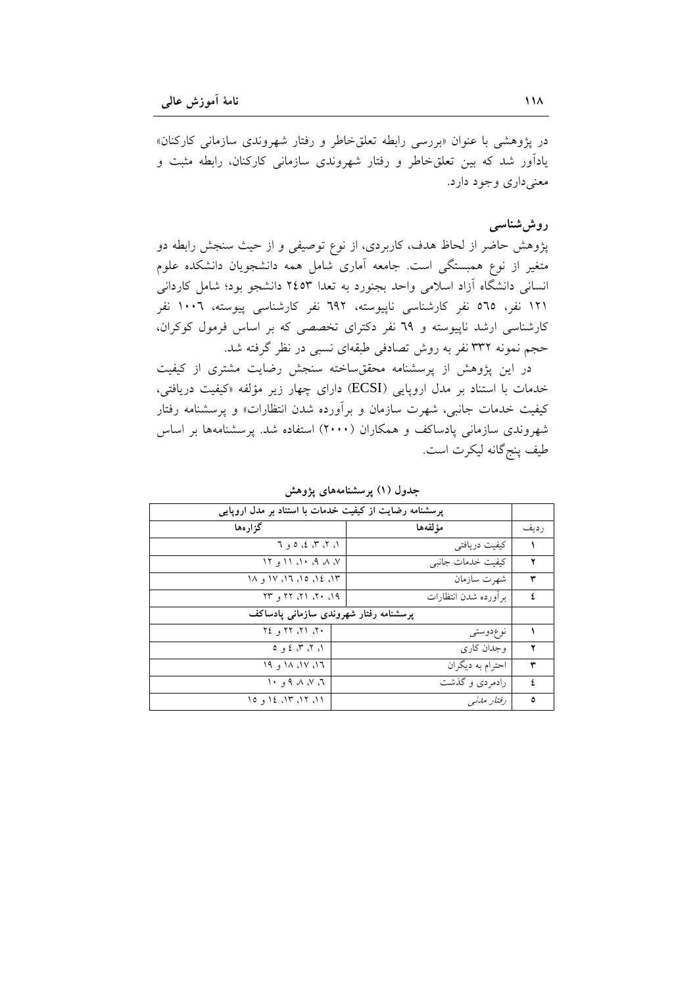در پژوهشی با عنوان «بررسی رابطه تعلقخاطر و رفتار شهروندی سازمانی کارکنان» یادآور شد که بین تعلقخاطر و رفتار شهروندی سازمانی کارکنان، رابطه مثبت و معني داري وجود دارد.

## روش شناسی

پژوهش حاضر از لحاظ هدف، کاربردی، از نوع توصیفی و از حیث سنجش رابطه دو متغیر از نوع همبستگی است. جامعه آماری شامل همه دانشجویان دانشکده علوم انسانی دانشگاه آزاد اسلامی واحد بجنورد به تعدا ۲٤٥٣ دانشجو بود؛ شامل کاردانی ١٢١ نفر، ٥٦٥ نفر كارشناسي ناپيوسته، ٦٩٢ نفر كارشناسي پيوسته، ١٠٠٦ نفر کارشناسی ارشد ناییوسته و ٦٩ نفر دکترای تخصصی که بر اساس فرمول کوکران، حجم نمونه ۳۳۲ نفر به روش تصادفی طبقهای نسبی در نظر گرفته شد.

در این پژوهش از پرسشنامه محققساخته سنجش رضایت مشتری از کیفیت خدمات با استناد بر مدل اروپایی (ECSI) دارای چهار زیر مؤلفه «کیفیت دریافتی، کیفیت خدمات جانبی، شهرت سازمان و برآورده شدن انتظارات» و پرسشنامه رفتار شهروندی سازمانی پادساکف و همکاران (۲۰۰۰) استفاده شد. پرسشنامهها بر اساس طيف پنج گانه ليکرت است.

| پرسشنامه رضایت از کیفیت خدمات با استناد بر مدل اروپایی                      |                      |       |  |
|-----------------------------------------------------------------------------|----------------------|-------|--|
| گزار هها                                                                    | مؤ لفهها             | ر ديف |  |
| ۱، ۲، ۳، ٤، ٥ و ٦                                                           | کیفیت دریافتی        |       |  |
| $V_1 \cup V_2 \cup V_3$ of $V_1$                                            | کیفیت خدمات جانبی    |       |  |
| $1$ , $1$ , $1$ , $1$ , $1$ , $1$ , $1$ , $1$ , $1$ , $1$ , $1$ , $1$ , $1$ | شهرت سازمان          | ٣     |  |
| $P_1$ , $P_2$ , $P_3$ , $P_7$ , $P_8$                                       | براورده شدن انتظارات | ź.    |  |
| پرسشنامه رفتار شهروندی سازمانی پادساکف                                      |                      |       |  |
| $15.17.77$ $(15.37)$                                                        | نوع،وستى             |       |  |
| 0, 2, 3, 0                                                                  | و جدان کار ی         | ۲     |  |
| 19, 11, 11, 17                                                              | احترام به دیگران     | ٣     |  |
| いっり ハ ハ ハ                                                                   | رادمردی و گذشت       | ź.    |  |
| ۱۱، ۱۲، ۱۲، ۱۶ و ۱۵                                                         | رفتار مدنبي          | ٥     |  |

جدول (۱) پرسشنامههای پژوهش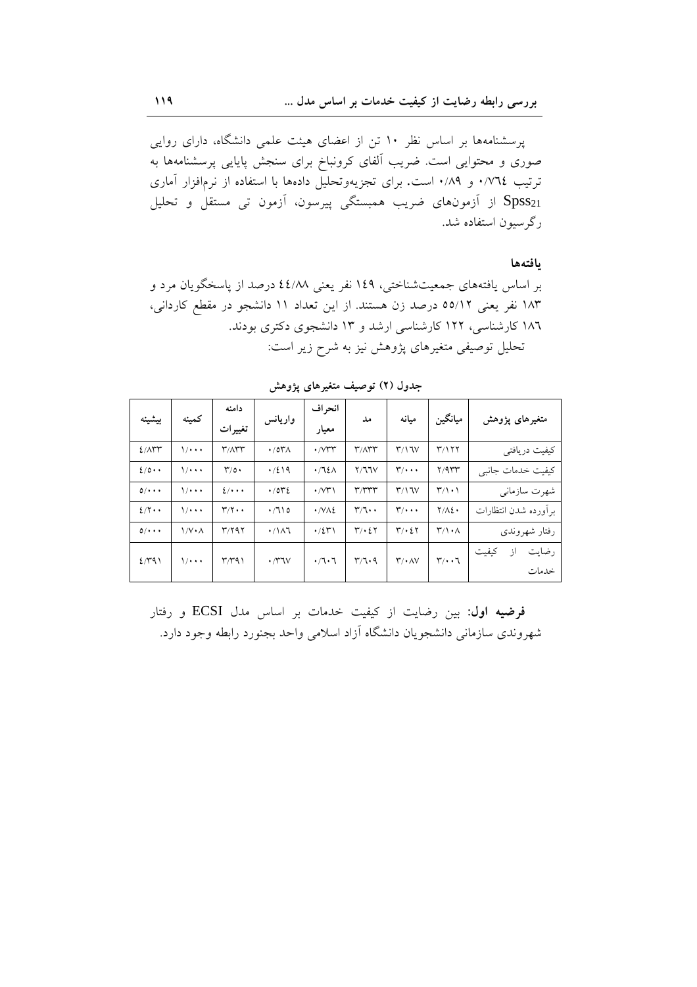پرسشنامهها بر اساس نظر ١٠ تن از اعضای هیئت علمی دانشگاه، دارای روایی صوری و محتوایی است. ضریب آلفای کرونباخ برای سنجش پایایی پرسشنامهها به ترتیب ٠/٧٦٤ و ٠/٨٩ است. برای تجزیهوتحلیل دادهها با استفاده از نرمافزار أماری Spss21 از آزمونهای ضریب همبستگی پیرسون، آزمون تی مستقل و تحلیل رگرسیون استفاده شد.

### بافتهها

بر اساس یافتههای جمعیتشناختی، ۱٤۹ نفر یعنی ٤٤/٨٨ درصد از پاسخگویان مرد و ۱۸۳ نفر یعنی ۵۵/۱۲ درصد زن هستند. از این تعداد ۱۱ دانشجو در مقطع کاردانی، ۱۸٦ کارشناسی، ۱۲۲ کارشناسی ارشد و ۱۳ دانشجوی دکتری بودند. تحلیل توصیفی متغیرهای پژوهش نیز به شرح زیر است:

| بيشينه                 | كمنه                        | دامنه<br>تغييرات                                         | واريانس                                    | انحر اف<br>معيار         | مل                                          | مىانە                              | ميانگين                                | متغیرهای پژوهش                |
|------------------------|-----------------------------|----------------------------------------------------------|--------------------------------------------|--------------------------|---------------------------------------------|------------------------------------|----------------------------------------|-------------------------------|
| $2/\Lambda$ ۳۳         | $\frac{1}{1}$               | $\mathsf{r}/\wedge\mathsf{r}\mathsf{r}$                  | $\cdot$ /0۳ $\Lambda$                      | $\cdot$ / $V^{\mu}$      | $\mathsf{r}/\mathsf{A}\mathsf{r}\mathsf{r}$ | $\mathsf{r}\wedge\mathsf{v}$       | T/177                                  | کیفیت دریافتی                 |
| $2/0$ .                | $\frac{1}{1}$               | $\mathcal{L}/\mathfrak{o}$ .                             | $\cdot$ /219                               | $\cdot$ /٦٤٨             | Y/77V                                       | $\mathbf{r}/\cdot\cdot\cdot$       | $Y/9$ rr                               | کیفیت خدمات جانبی             |
| $0/$                   | $\frac{1}{2}$               | 2/4                                                      | .7042                                      | $\cdot$ / $\vee\uparrow$ | r/rrrr                                      | $\mathsf{r}\wedge\mathsf{v}$       | $\mathbf{r}/\mathbf{1}\cdot\mathbf{1}$ | شهرت سازمانى                  |
| $2/\gamma \cdot \cdot$ | $\frac{1}{1}$               | $\Upsilon/\Upsilon$                                      | $\cdot$ /710                               | $\cdot$ /VAE             | $\mathbf{r}/\mathbf{1}\cdot\mathbf{1}$      | $\mathbf{r}/\cdot\cdot\cdot$       | $Y/\Lambda\S$                          | برأورده شدن انتظارات          |
| $0/$                   | $\frac{1}{V} \cdot \Lambda$ | $T/Y$ ۹۲                                                 | $\cdot / \lambda$                          | $\cdot$ /٤٣١             | $\mathbf{r}/\cdot\mathbf{r}$                | $\mathbf{r}/\cdot\mathbf{r}$       | $\Upsilon/\Upsilon \cdot \Lambda$      | رفتار شهروندى                 |
| 2/41                   | $\frac{1}{1}$               | $\mathsf{r} \mathsf{r} \mathsf{r} \mathsf{q} \mathsf{l}$ | $\cdot$ / $\uparrow\uparrow\downarrow\vee$ | $\cdot$ / $\cdot$ 7      | $r/\tau \cdot 9$                            | $\mathsf{r}\prime\cdot\mathsf{AV}$ | $\mathbf{r}/\cdot\cdot\mathbf{r}$      | رضايت<br>كيفيت<br>از<br>خدمات |

جدول (۲) توصیف متغیرهای پژوهش

فرضيه اول: بين رضايت از كيفيت خدمات بر اساس مدل ECSI و رفتار شهروندی سازمانی دانشجویان دانشگاه آزاد اسلامی واحد بجنورد رابطه وجود دارد.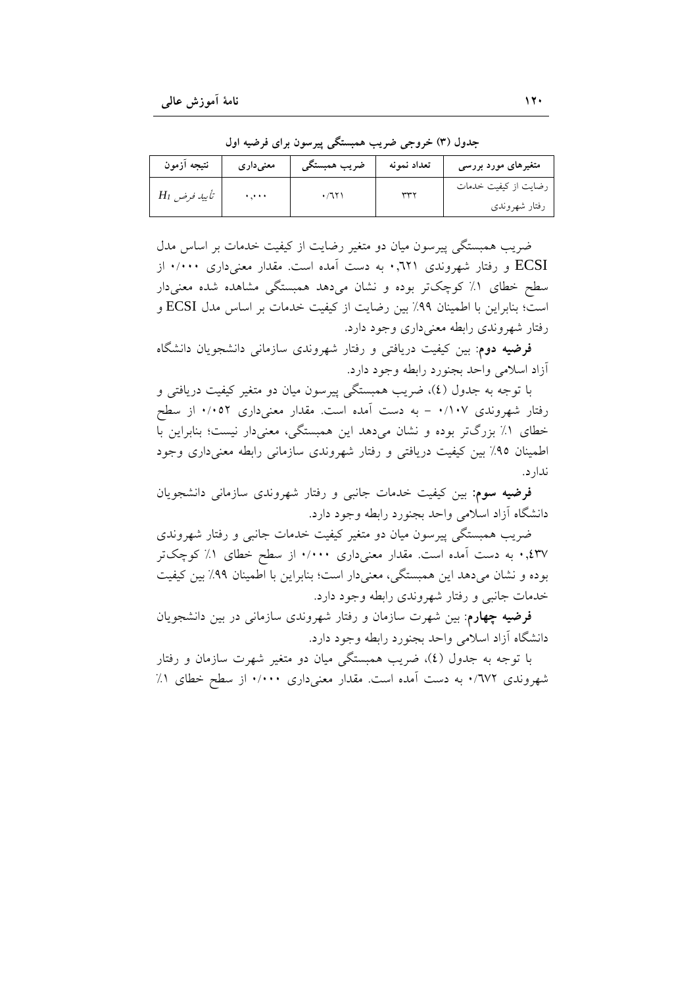| نتيجه آزمون         | معنی داری | ضريب همبستگي | تعداد نمونه | متغیرهای مورد بررسی  |
|---------------------|-----------|--------------|-------------|----------------------|
| $H_{I}$ تأييد فرض ت | بدبرة     | ۰/٦٢۱        | بسهس        | رضایت از کیفیت خدمات |
|                     |           |              |             | رفتار شهروندى        |

جدول (۳) خروجی ضریب همبستگی پیرسون برای فرضیه اول

ضریب همبستگی پیرسون میان دو متغیر رضایت از کیفیت خدمات بر اساس مدل ECSI و رفتار شهروندی ۰٫٦۲۱ به دست آمده است. مقدار معنیداری ۰/۰۰۰ از سطح خطای ۱٪ کوچکتر بوده و نشان میدهد همبستگی مشاهده شده معنیدار است؛ بنابراین با اطمینان ۹۹٪ بین رضایت از کیفیت خدمات بر اساس مدل ECSI و رفتار شهروندي رابطه معنى دارى وجود دارد.

فرضیه دوم: بین کیفیت دریافت<sub>ی</sub> و رفتار شهروندی سازمان<sub>ی</sub> دانشجویان دانشگاه أزاد اسلامي واحد بجنورد رابطه وجود دارد.

با توجه به جدول (٤)، ضريب همبستگي پيرسون ميان دو متغير كيفيت دريافتي و رفتار شهروندی ۰/۱۰۷ – به دست آمده است. مقدار معنیداری ۰/۰۵۲ از سطح خطای ۱٪ بزرگتر بوده و نشان میدهد این همبستگی، معنیدار نیست؛ بنابراین با اطمینان ۹۵٪ بین کیفیت دریافتی و رفتار شهروندی سازمانی رابطه معنیداری وجود ندار د.

**فرضیه سوم:** بین کیفیت خدمات جانبی و رفتار شهروندی سازمانی دانشجویان دانشگاه أزاد اسلامی واحد بجنورد رابطه وجود دارد.

ضریب همبستگی پیرسون میان دو متغیر کیفیت خدمات جانبی و رفتار شهروندی ٤٣٧٪. به دست آمده است. مقدار معنىدارى ٠/٠٠٠ از سطح خطاى ١٪ كوچكتر بوده و نشان می دهد این همبستگی، معنی دار است؛ بنابراین با اطمینان ۹۹٪ بین کیفیت خدمات جانبي و رفتار شهروندي رابطه وجود دارد.

فرضیه چهارم: بین شهرت سازمان و رفتار شهروندی سازمانی در بین دانشجویان دانشگاه آزاد اسلامی واحد بجنورد رابطه وجود دارد.

با توجه به جدول (٤)، ضریب همبستگی میان دو متغیر شهرت سازمان و رفتار شهروندی ۰/٦٧٢ به دست آمده است. مقدار معنیداری ۰/۰۰۰ از سطح خطای ۱٪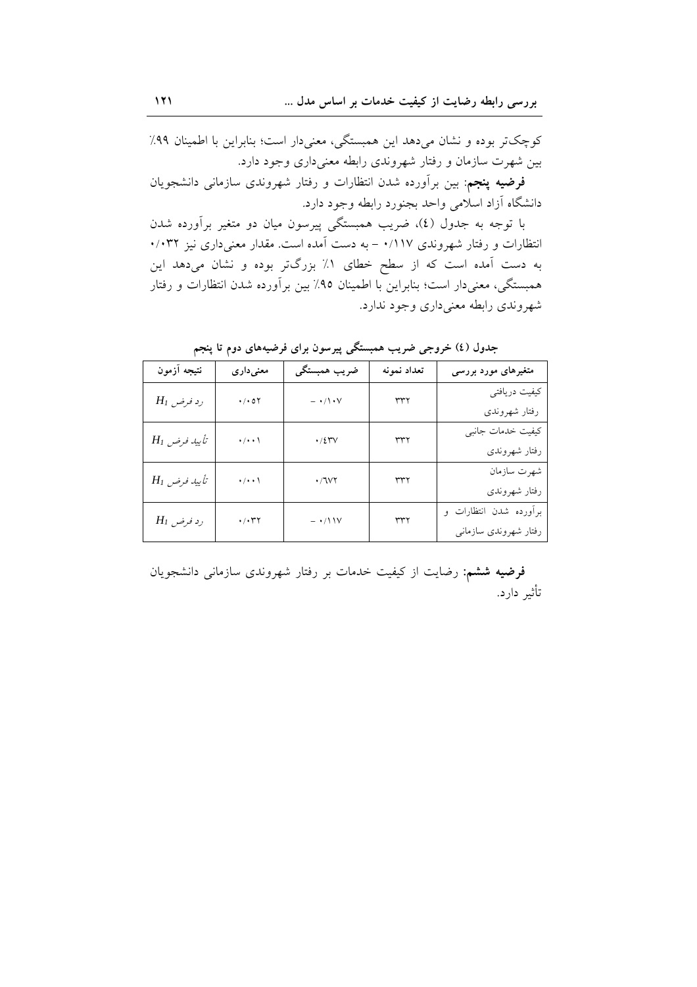کوچکتر بوده و نشان میدهد این همبستگی، معنیدار است؛ بنابراین با اطمینان ۹۹٪ بین شهرت سازمان و رفتار شهروندی رابطه معنیداری وجود دارد.

فرضیه پنجم: بین برآورده شدن انتظارات و رفتار شهروندی سازمانی دانشجویان دانشگاه أزاد اسلامی واحد بجنورد رابطه وجود دارد.

با توجه به جدول (٤)، ضریب همبستگی پیرسون میان دو متغیر برآورده شدن انتظارات و رفتار شهروندی ۰/۱۱۷ - به دست آمده است. مقدار معنیداری نیز ۰/۰۳۲ به دست آمده است که از سطح خطای ۱٪ بزرگتر بوده و نشان میدهد این همبستگی، معنیدار است؛ بنابراین با اطمینان ۹۵٪ بین برآورده شدن انتظارات و رفتار شهروندي رابطه معنى داري وجود ندارد.

| نتيجه آزمون       | معنىدارى                       | ضريب همبستگي                                                                          | تعداد نمونه | متغیرهای مورد بررسی    |
|-------------------|--------------------------------|---------------------------------------------------------------------------------------|-------------|------------------------|
| $H_I$ رد فرض      | $\cdot$ / $\cdot$ 0 $\Upsilon$ | $ \cdot$ / $\cdot$ $\cdot$                                                            | ٣٣٢         | كيفيت دريافتي          |
|                   |                                |                                                                                       |             | رفتار شهروندى          |
| $H_l$ تأييد فرض   | $\cdot/\!\cdot\cdot\backslash$ | $\boldsymbol{\cdot}$ / $\boldsymbol{\xi}$<br>$\boldsymbol{\Upsilon}\boldsymbol{\vee}$ | ٣٣٢         | كيفيت خدمات جانبي      |
|                   |                                |                                                                                       |             | رفتار شهروندى          |
| $H_{I}$ تأييد فرض | $\cdot/\!\cdot\cdot\backslash$ | $\boldsymbol{\cdot}$ / $\boldsymbol{\mathrm{VV}}$ $\boldsymbol{\mathrm{Y}}$           | ٣٣٢         | شهرت سازمان            |
|                   |                                |                                                                                       |             | رفتار شهروندى          |
| $H_I$ رد فرض      | $\cdot$ / $\cdot$ / $\uparrow$ | $ \cdot$ / $\setminus$ $\vee$                                                         | ٣٣٢         | برأورده شدن انتظارات و |
|                   |                                |                                                                                       |             | رفتار شهروندى سازمانى  |

جدول (٤) خروجی ضریب همبستگی پیرسون برای فرضیههای دوم تا پنجم

فرضیه ششم: رضایت از کیفیت خدمات بر رفتار شهروندی سازمانی دانشجویان تأثير دارد.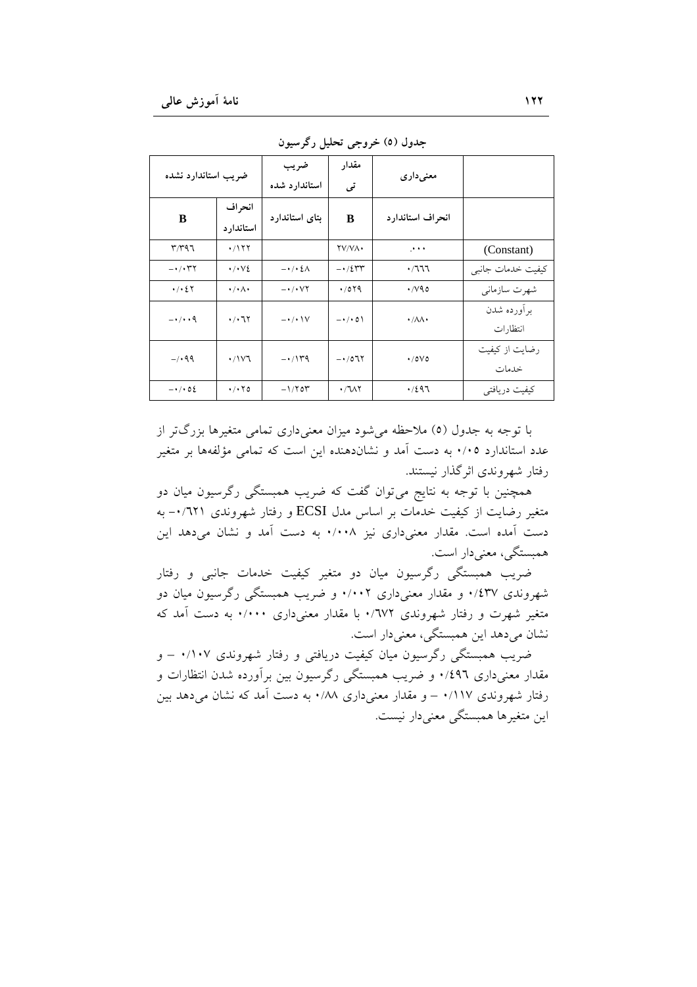| ضريب استاندارد نشده                     |                                   | ضريب                             | مقدار             |                             |                   |
|-----------------------------------------|-----------------------------------|----------------------------------|-------------------|-----------------------------|-------------------|
|                                         |                                   | استاندارد شده                    | تى                | معنىدارى                    |                   |
| انحراف                                  |                                   | بتای استاندارد                   | B                 | انحراف استاندارد            |                   |
| B                                       | استاندارد                         |                                  |                   |                             |                   |
| $r$ $r$ $q$ $r$                         | .7177                             |                                  | YV/VA.            | ه د در                      | (Constant)        |
| $ \cdot$ $\wedge$ $\Upsilon$ $\Upsilon$ | $\cdot/\cdot\vee\mathcal{E}$      | $-\cdot$ / $\cdot$ { $\wedge$    | $-1/2$ rr         | $\cdot$ /٦٦٦                | كيفيت خدمات جانبي |
| $\cdot$ / $\cdot$ 2 $\cdot$             | $\cdot/\cdot \wedge \cdot$        | $ \cdot$ / $\cdot$ $\vee$ $\tau$ | .7079             | $\cdot$ /v90                | شهرت سازماني      |
| $-\cdot/\cdot\cdot$ 9                   | $\cdot$ / $\cdot$ 7.7             | $-\cdot/\cdot$ \V                | $-\cdot/\cdot$ 0) | $\cdot/\lambda\lambda\cdot$ | برأورده شدن       |
|                                         |                                   |                                  |                   | انتظارات                    |                   |
| $-1.99$                                 | ۰/۱۷٦                             | $-114$                           | $-107$            | $\cdot$ /0 $\vee$ 0         | رضایت از کیفیت    |
|                                         |                                   |                                  |                   |                             | خدمات             |
| $-\cdot$ / $\cdot$ 02                   | $\cdot$ / $\cdot$ $\cdot$ $\circ$ | $-1/7$ or                        | $\cdot$ /11       | $\cdot$ /297                | كيفيت دريافتي     |

جدول (٥) خروجي تحليل رگرسيون

یا توجه به جدول (٥) ملاحظه می شود میزان معنی داری تمامی متغیرها بزرگ تر از عدد استاندارد ۰/۰۵ به دست آمد و نشاندهنده این است که تمامی مؤلفهها بر متغیر رفتار شهروندي اثر گذار نيستند.

همچنین با توجه به نتایج میتوان گفت که ضریب همبستگی رگرسیون میان دو متغیر رضایت از کیفیت خدمات بر اساس مدل ECSI و رفتار شهروندی ۰٬۱۲۱- به دست آمده است. مقدار معنى دارى نيز ٠/٠٠٨ به دست آمد و نشان مى دهد اين همبستگی، معنی دار است.

ضریب همبستگی رگرسیون میان دو متغیر کیفیت خدمات جانبی و رفتار شهروندی ۰/٤٣۷ و مقدار معنیداری ۰/۰۰۲ و ضریب همبستگی رگرسیون میان دو متغیر شهرت و رفتار شهروندی ۷۷۲/۰ با مقدار معنی داری ۰/۰۰۰ به دست آمد که نشان می دهد این همبستگی، معنی دار است.

ضریب همبستگی رگرسیون میان کیفیت دریافتی و رفتار شهروندی ۰/۱۰۷ – و مقدار معنیداری ۰/٤٩٦ و ضریب همبستگی رگرسیون بین برآورده شدن انتظارات و رفتار شهروندی ۱۱۷/۰ – و مقدار معنی داری ۰/۸۸ به دست آمد که نشان می دهد بین این متغیرها همبستگی معنیدار نیست.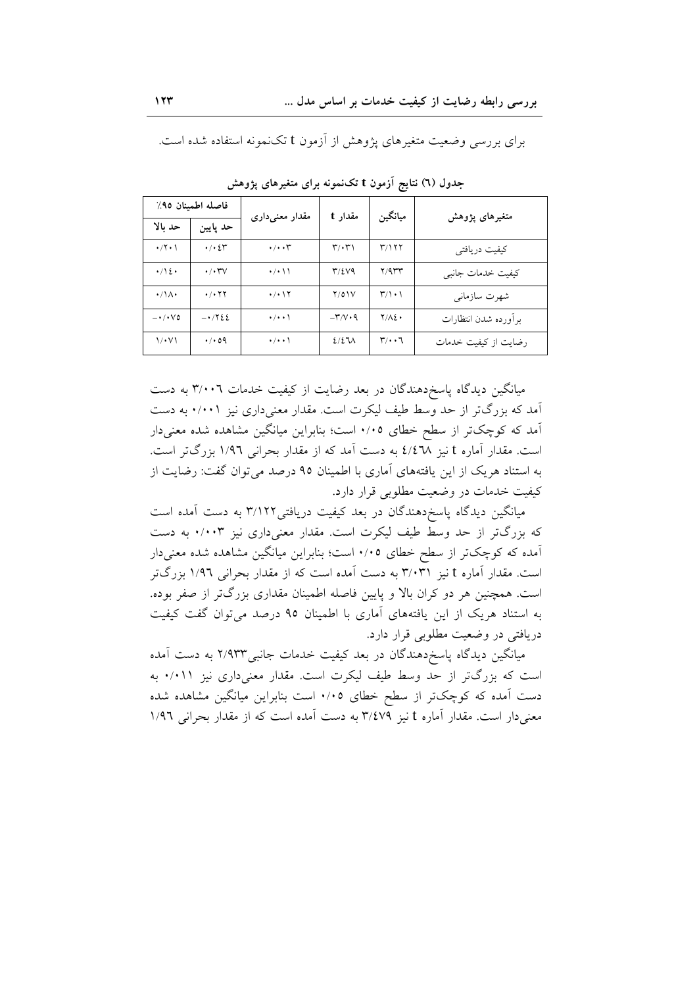| فاصله اطمينان ٩٥٪       |                                         | مقدار معنىدارى                 | مقدار t                                 | ميانگين                           | متغیرهای پژوهش       |
|-------------------------|-----------------------------------------|--------------------------------|-----------------------------------------|-----------------------------------|----------------------|
| حد بالا                 | حد پایین                                |                                |                                         |                                   |                      |
| $\cdot$ /۲۰۱            | $\cdot$ / $\cdot$ 2 $\tau$              | $\cdot/\cdot\cdot$ ۳           | $\mathbf{r}/\cdot\mathbf{r}$            | ۳/۱۲۲                             | كيفيت دريافتي        |
| $\cdot/\sqrt{2}$        | $\cdot/\cdot$ YV                        | $\cdot/\cdot$ \ \              | $T/\Sigma V9$                           | Y/9                               | كيفيت خدمات جانبي    |
| $\cdot/\Lambda$         | $\cdot$ / $\cdot$ $\uparrow$ $\uparrow$ | $\cdot$ / $\cdot$ \ $\Upsilon$ | Y/O1V                                   | $\mathcal{L}/\mathcal{L}$         | شهرت سازماني         |
| $-\cdot/\cdot\vee\circ$ | $-1722$                                 | $\cdot/\cdot\cdot$             | $-\mathsf{r}/\mathsf{v}\cdot\mathsf{q}$ | $Y/\Lambda\S$                     | برأورده شدن انتظارات |
| $1/\cdot V$             | $\cdot$ / $\cdot$ 09                    | $\cdot$ / $\cdot$ \            | 2/27                                    | $\mathbf{r}/\cdot\cdot\mathbf{r}$ | رضایت از کیفیت خدمات |

برای بررسی وضعیت متغیرهای پژوهش از آزمون t تکنمونه استفاده شده است.

جدول (٦) نتایج آزمون t تکنمونه برای متغیرهای پژوهش

میانگین دیدگاه پاسخدهندگان در بعد رضایت از کیفیت خدمات ۳/۰۰٦ به دست آمد که بزرگتر از حد وسط طیف لیکرت است. مقدار معنیداری نیز ۰/۰۰۱ به دست آمد که کوچکتر از سطح خطای ۰/۰۵ است؛ بنابراین میانگین مشاهده شده معنیدار است. مقدار آماره t نیز ٤/٤٦٨ به دست آمد که از مقدار بحرانی ١/٩٦ بزرگتر است. به استناد هر یک از این یافتههای آماری با اطمینان ۹۵ درصد می توان گفت: رضایت از کیفیت خدمات در وضعیت مطلوبی قرار دارد.

میانگین دیدگاه پاسخدهندگان در بعد کیفیت دریافتی۲/۱۲۲ به دست آمده است که بزرگتر از حد وسط طیف لیکرت است. مقدار معنیداری نیز ۰/۰۰۳ به دست آمده که کوچکتر از سطح خطای ۰/۰۵ است؛ بنابراین میانگین مشاهده شده معنیدار است. مقدار آماره t نیز ۳/۰۳۱ به دست آمده است که از مقدار بحرانی ۱/۹۲ بزرگتر است. همچنین هر دو کران بالا و پایین فاصله اطمینان مقداری بزرگتر از صفر بوده. به استناد هریک از این یافتههای آماری با اطمینان ۹۵ درصد می توان گفت کیفیت دریافتی در وضعیت مطلوبی قرار دارد.

میانگین دیدگاه پاسخردهندگان در بعد کیفیت خدمات جانبی۲/۹۳۳ به دست آمده است که بزرگتر از حد وسط طیف لیکرت است. مقدار معنیداری نیز ۰/۰۱۱ به دست آمده که کوچکتر از سطح خطای ۰/۰۵ است بنابراین میانگین مشاهده شده معنی دار است. مقدار آماره t نیز ۳/٤٧٩ به دست آمده است که از مقدار بحرانی ۱/۹٦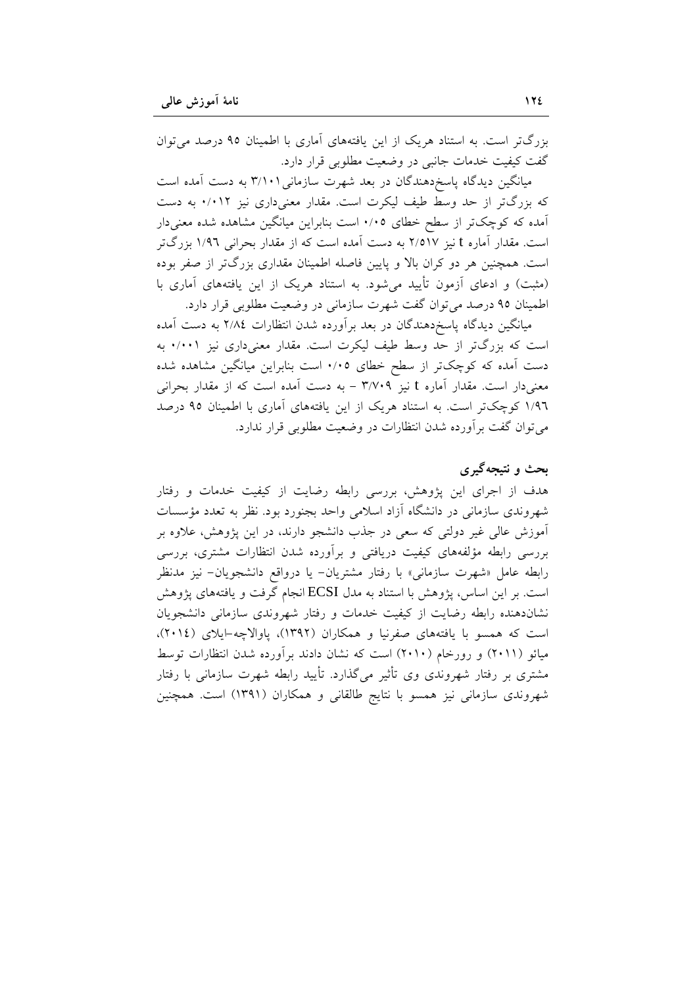بزرگتر است. به استناد هریک از این یافتههای آماری با اطمینان ۹۵ درصد می توان گفت کیفیت خدمات جانبی در وضعیت مطلوبی قرار دارد.

میانگین دیدگاه پاسخدهندگان در بعد شهرت سازمانی۲/۱۰۱ به دست آمده است که بزرگتر از حد وسط طیف لیکرت است. مقدار معنیداری نیز ۰/۰۱۲ به دست آمده که کوچکتر از سطح خطای ۰/۰۵ است بنابراین میانگین مشاهده شده معنیدار است. مقدار آماره t نیز ۲/٥۱۷ به دست آمده است که از مقدار بحرانی ۱/۹۲ بزرگتر است. همچنین هر دو کران بالا و پایین فاصله اطمینان مقداری بزرگتر از صفر بوده (مثبت) و ادعای آزمون تأیید می شود. به استناد هریک از این یافتههای آماری با اطمینان ۹۵ درصد می توان گفت شهرت سازمانی در وضعیت مطلوبی قرار دارد.

میانگین دیدگاه پاسخدهندگان در بعد برأورده شدن انتظارات ۲/۸٤ به دست أمده است که بزرگتر از حد وسط طیف لیکرت است. مقدار معنیداری نیز ۰/۰۰۱ به دست آمده که کوچکتر از سطح خطای ۰/۰۵ است بنابراین میانگین مشاهده شده معنیدار است. مقدار آماره t نیز ۳/۷۰۹ – به دست آمده است که از مقدار بحرانی ١/٩٦ كوچكتر است. به استناد هريك از اين يافتههاى آمارى با اطمينان ٩٥ درصد می توان گفت بر اَورده شدن انتظارات در وضعیت مطلوبی قرار ندارد.

# بحث و نتبجه گېرې

هدف از اجرای این پژوهش، بررسی رابطه رضایت از کیفیت خدمات و رفتار شهروندی سازمانی در دانشگاه آزاد اسلامی واحد بجنورد بود. نظر به تعدد مؤسسات آموزش عالی غیر دولتی که سعی در جذب دانشجو دارند، در این یژوهش، علاوه بر بررسی رابطه مؤلفههای کیفیت دریافتی و برآورده شدن انتظارات مشتری، بررسی رابطه عامل «شهرت سازمانی» با رفتار مشتریان- یا درواقع دانشجویان- نیز مدنظر است. بر این اساس، پژوهش با استناد به مدل ECSI انجام گرفت و یافتههای پژوهش نشاندهنده رابطه رضایت از کیفیت خدمات و رفتار شهروندی سازمانی دانشجویان است که همسو با یافتههای صفرنیا و همکاران (۱۳۹۲)، یاوالاچه-ایلای (۲۰۱٤)، میائو (۲۰۱۱) و رورخام (۲۰۱۰) است که نشان دادند برآورده شدن انتظارات توسط مشتری بر رفتار شهروندی وی تأثیر میگذارد. تأیید رابطه شهرت سازمانی با رفتار شهروندی سازمانی نیز همسو با نتایج طالقانی و همکاران (۱۳۹۱) است. همچنین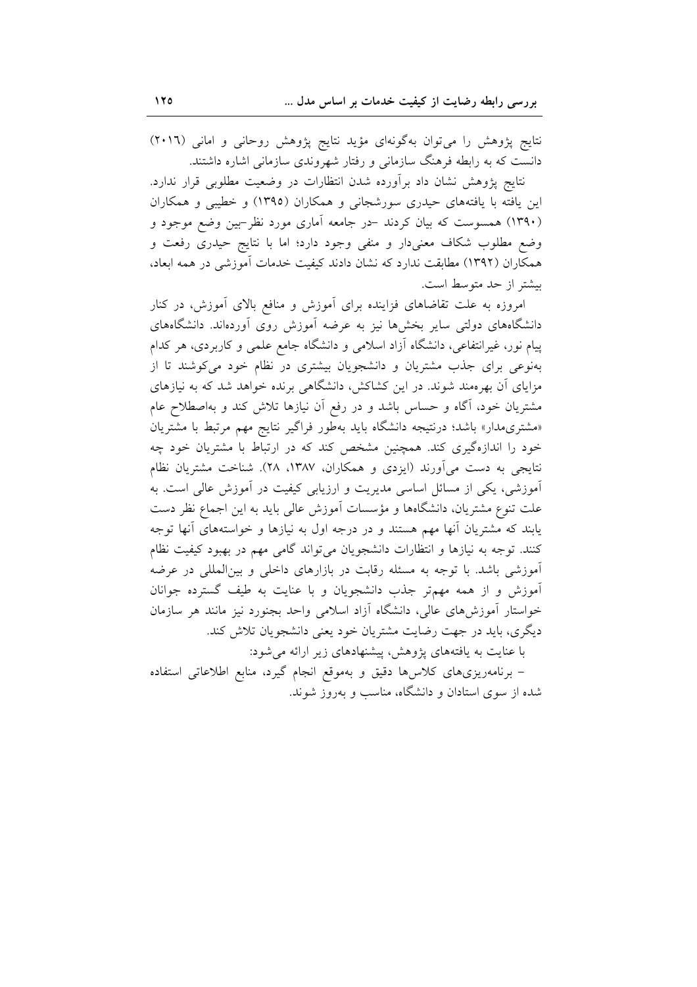نتایج پژوهش را میتوان بهگونهای مؤید نتایج پژوهش روحانی و امانی (۲۰۱٦) دانست که به رابطه فرهنگ سازمانی و رفتار شهروندی سازمانی اشاره داشتند.

نتايج پژوهش نشان داد برأورده شدن انتظارات در وضعيت مطلوبي قرار ندارد. این یافته با یافتههای حیدری سورشجانی و همکاران (١٣٩٥) و خطیبی و همکاران (۱۳۹۰) همسوست که بیان کردند –در جامعه آماری مورد نظر–بین وضع موجود و وضع مطلوب شکاف معنیدار و منفی وجود دارد؛ اما با نتایج حیدری رفعت و همکاران (۱۳۹۲) مطابقت ندارد که نشان دادند کیفیت خدمات آموزشی در همه ابعاد، بيشتر از حد متوسط است.

امروزه به علت تقاضاهای فزاینده برای آموزش و منافع بالای آموزش، در کنار دانشگاههای دولتی سایر بخشها نیز به عرضه آموزش روی آوردهاند. دانشگاههای پیام نور، غیرانتفاعی، دانشگاه آزاد اسلامی و دانشگاه جامع علمی و کاربردی، هر کدام بهنوعی برای جذب مشتریان و دانشجویان بیشتری در نظام خود می کوشند تا از مزایای آن بهرهمند شوند. در این کشاکش، دانشگاهی برنده خواهد شد که به نیازهای مشتریان خود، آگاه و حساس باشد و در رفع آن نیازها تلاش کند و بهاصطلاح عام «مشتری مدار» باشد؛ درنتیجه دانشگاه باید بهطور فراگیر نتایج مهم مرتبط با مشتریان خود را اندازهگیری کند. همچنین مشخص کند که در ارتباط با مشتریان خود چه نتايجي به دست مي آورند (ايزدي و همكاران، ١٣٨٧، ٢٨). شناخت مشتريان نظام أموزشی، یکی از مسائل اساسی مدیریت و ارزیابی کیفیت در أموزش عالی است. به علت تنوع مشتريان، دانشگاهها و مؤسسات آموزش عالی بايد به اين اجماع نظر دست یابند که مشتریان أنها مهم هستند و در درجه اول به نیازها و خواستههای أنها توجه کنند. توجه به نیازها و انتظارات دانشجویان می تواند گامی مهم در بهبود کیفیت نظام آموزشی باشد. با توجه به مسئله رقابت در بازارهای داخلی و بینالمللی در عرضه أموزش و از همه مهمتر جذب دانشجویان و با عنایت به طیف گسترده جوانان خواستار آموزشهای عالی، دانشگاه آزاد اسلامی واحد بجنورد نیز مانند هر سازمان دیگری، باید در جهت رضایت مشتریان خود یعنی دانشجویان تلاش کند.

با عنایت به یافتههای پژوهش، پیشنهادهای زیر ارائه می شود:

– برنامەریزی،ای کلاس،ا دقیق و بەموقع انجام گیرد، منابع اطلاعاتی استفاده شده از سوی استادان و دانشگاه، مناسب و بهروز شوند.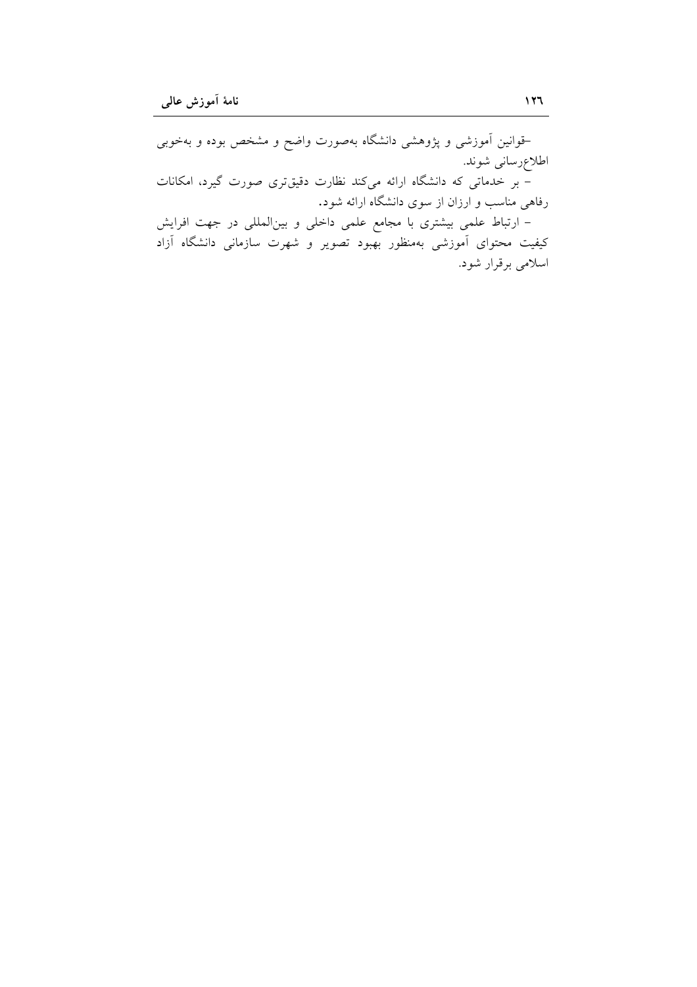–قوانین آموزشی و پژوهشی دانشگاه بهصورت واضح و مشخص بوده و بهخوبی اطلاعرسانی شوند. - بر خدمات<sub>ی</sub> که دانشگاه ارائه میکند نظارت دقیقتری صورت گیرد، امکانات رفاهی مناسب و ارزان از سوی دانشگاه ارائه شود. – ارتباط علمی بیشتری با مجامع علمی داخلی و بینالمللی در جهت افرایش کیفیت محتوای آموزشی بهمنظور بهبود تصویر و شهرت سازمانی دانشگاه آزاد اسلامی برقرار شود.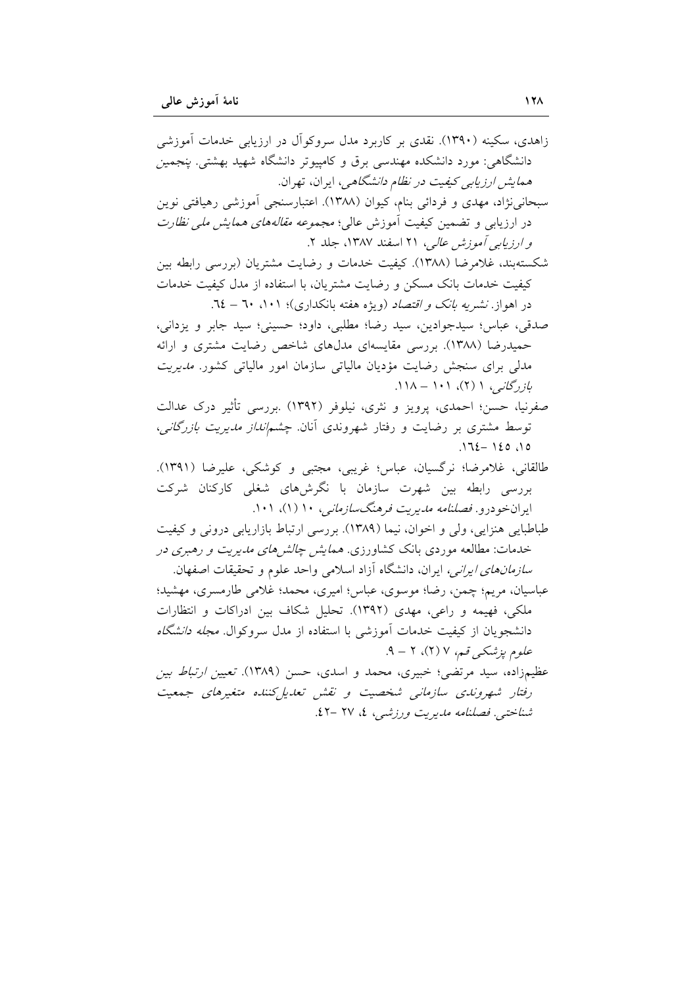زاهدی، سکینه (۱۳۹۰). نقدی بر کاربرد مدل سروکوآل در ارزیابی خدمات آموزشی دانشگاهی: مورد دانشکده مهندسی برق و کامپیوتر دانشگاه شهید بهشتی. *ینجمین همایش ارزیابی کیفیت در نظام دانشگاهی*، ایران، تهران. سبحانی نژاد، مهدی و فردائی بنام، کیوان (۱۳۸۸). اعتبارسنجی آموزشی رهیافتی نوین در ارزیابی و تضمین کیفیت اَموزش عالی؛ *مجموعه مقالههای همایش مل<sub>ک</sub> نظارت* و *ارزیابی آموزش عالی، ۲۱* اسفند ۱۳۸۷، جلد ۲. شکستهبند، غلامرضا (۱۳۸۸). کیفیت خدمات و رضایت مشتریان (بررسی رابطه بین كيفيت خدمات بانك مسكن و رضايت مشتريان، با استفاده از مدل كيفيت خدمات در اهواز نشیر*یه بانک و اقتصاد (ویژه هفته بانکداری)؛ ۱۰۱، ۳۰ – ۲*۰. صدقی، عباس؛ سیدجوادین، سید رضا؛ مطلبی، داود؛ حسینی؛ سید جابر و یزدانی، حمیدرضا (۱۳۸۸). بررسی مقایسهای مدلهای شاخص رضایت مشتری و ارائه مدلی برای سنجش رضایت مؤدیان مالیاتی سازمان امور مالیاتی کشور. *مدیریت*  $11\wedge -1$ ۰۱ (۲)، ا $\zeta$ گانبی، ا صفرنیا، حسن؛ احمدی، پرویز و نثری، نیلوفر (۱۳۹۲) بررسی تأثیر درک عدالت توسط مشتری بر رضایت و رفتار شهروندی آنان. *چشم\نداز مدیریت بازرگانی،*  $.172 - 120.10$ طالقاني، غلامرضا؛ نرگسيان، عباس؛ غريبي، مجتبي و كوشكي، عليرضا (١٣٩١). بررسی رابطه بین شهرت سازمان با نگرش۵ای شغلی کارکنان شرکت ایران خو درو. *فصلنامه مدیریت فرهنگسازمانی، ۱۰* (۱)، ۱۰۱. طباطبایی هنزایی، ولی و اخوان، نیما (۱۳۸۹). بررسی ارتباط بازاریابی درونی و کیفیت خدمات: مطالعه موردی بانک کشاورزی. *همایش چالش۵ملی مدیریت و رهبری در سازمانهای ایرانی،* ایران، دانشگاه آزاد اسلامی واحد علوم و تحقیقات اصفهان. عباسیان، مریم؛ چمن، رضا؛ موسوی، عباس؛ امیری، محمد؛ غلامی طارمسری، مهشید؛ ملکی، فهیمه و راعی، مهدی (۱۳۹۲). تحلیل شکاف بین ادراکات و انتظارات دانشجویان از کیفیت خدمات آموزش<sub>ی</sub> با استفاده از مدل سروکوال*. مجله دانشگاه* علوم پزشکی قسم، ۷ (۲)، ۲ – ۹. عظیمزاده، سید مرتضی؛ خبیری، محمد و اسدی، حسن (۱۳۸۹). تعیی*ن ارتباط بین* رفتار شهروندی سازمانی شخصیت و نقش تعدیل کننده متغیرهای جمعیت شناختی. فصلنامه مدیریت ورزشه ، ٤، ٢٧ -٤٢.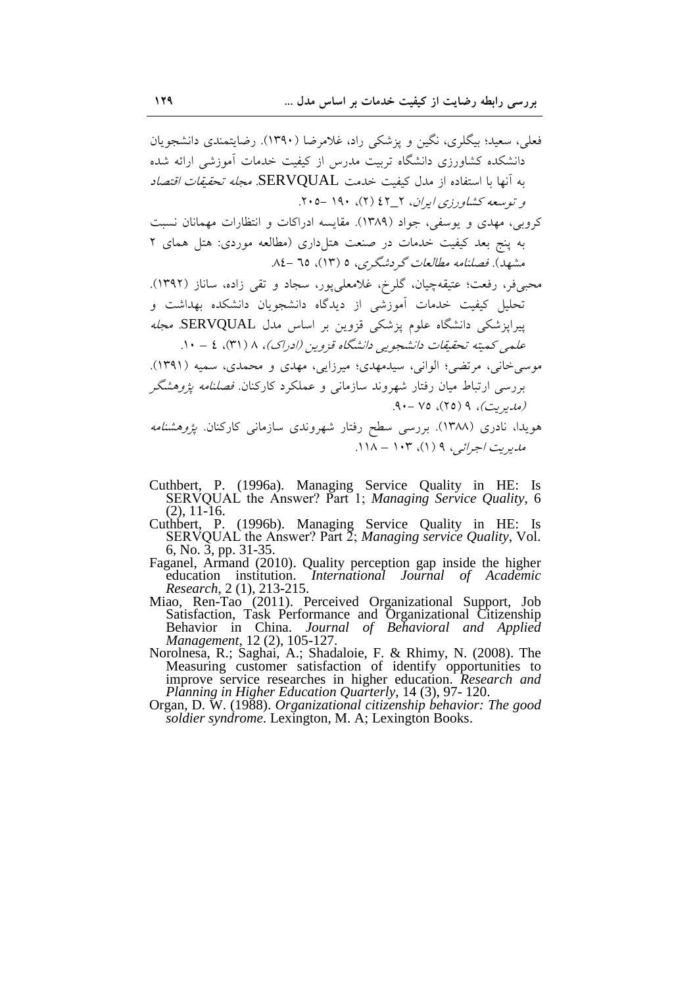فعلی، سعید؛ بیگلری، نگین و پزشکی راد، غلامرضا (۱۳۹۰). رضایتمندی دانشجویان دانشکده کشاورزی دانشگاه تربیت مدرس از کیفیت خدمات آموزشی ارائه شده به أنها با استفاده از مدل كيفيت خدمت SERVQUAL مج*له تحقيقات اقتصاد* و توسعه کشاورزی ایران، ۲\_۶۲ (۲)، ۱۹۰ -۰۵. کروبی، مهدی و یوسفی، جواد (۱۳۸۹). مقایسه ادراکات و انتظارات مهمانان نسبت به پنج بعد کیفیت خدمات در صنعت هتلداری (مطالعه موردی: هتل همای ۲ مشهد). فصلنامه مطالعات گردشگری، ۵ (۱۳)، ۲۵ –۸٤. محبیفر، رفعت؛ عتیقهچیان، گلرخ، غلامعلیپور، سجاد و تقی زاده، ساناز (۱۳۹۲). تحلیل کیفیت خدمات آموزشی از دیدگاه دانشجویان دانشکده بهداشت و پیراپزشکی دانشگاه علوم پزشکی قزوین بر اساس مدل SERVQUAL. *مجله* علمی کمیته تحقیقات دانشجویی دانشگاه قزوین (ادراک)، ۸ ( ۳۱)، ٤ – ۱۰. موسی خانی، مرتضی؛ الوانی، سیدمهدی؛ میرزایی، مهدی و محمدی، سمیه (۱۳۹۱). بررسی ارتباط میان رفتار شهروند سازمانی و عملکرد کارکنان *فصلنامه پژوهشگ*ر (مدیریت)، ۹ (۲۵)، ۷۵ -۹۰. هویدا، نادری (۱۳۸۸). بررسی سطح رفتار شهروندی سازمان<sub>ی</sub> کارکنان. *پژوهشنامه* مدیریت اجرائیے ، ۹ (۱)، ۱۰۳ – ۱۱۸.

- Cuthbert, P. (1996a). Managing Service Quality in HE: Is<br>SERVQUAL the Answer? Part 1; Managing Service Quality, 6
- (2), 11-16.<br>Cuthbert, P. (1996b). Managing Service Quality in HE: Is<br>SERVQUAL the Answer? Part 2; Managing service Quality, Vol.
- 6, No. 3, pp. 31-35.<br>Faganel, Armand (2010). Quality perception gap inside the higher<br>education institution. *International Journal of Academic* Research, 2 (1), 213-215.
- Miao, Ren-Tao (2011). Perceived Organizational Support, Job<br>Satisfaction, Task Performance and Organizational Citizenship<br>Behavior in China. Journal of Behavioral and Applied Management, 12 (2), 105-127.
- Norolnesa, R.; Saghai, A.; Shadaloie, F. & Rhimy, N. (2008). The Measuring customer satisfaction of identify opportunities to improve service researches in higher education. Research and Planning in Higher Education Quarterly, 14 (3), 97-120.<br>Organ, D. W. (1988). Organizational citizenship behavior: The good
- soldier syndrome. Lexington, M. A; Lexington Books.